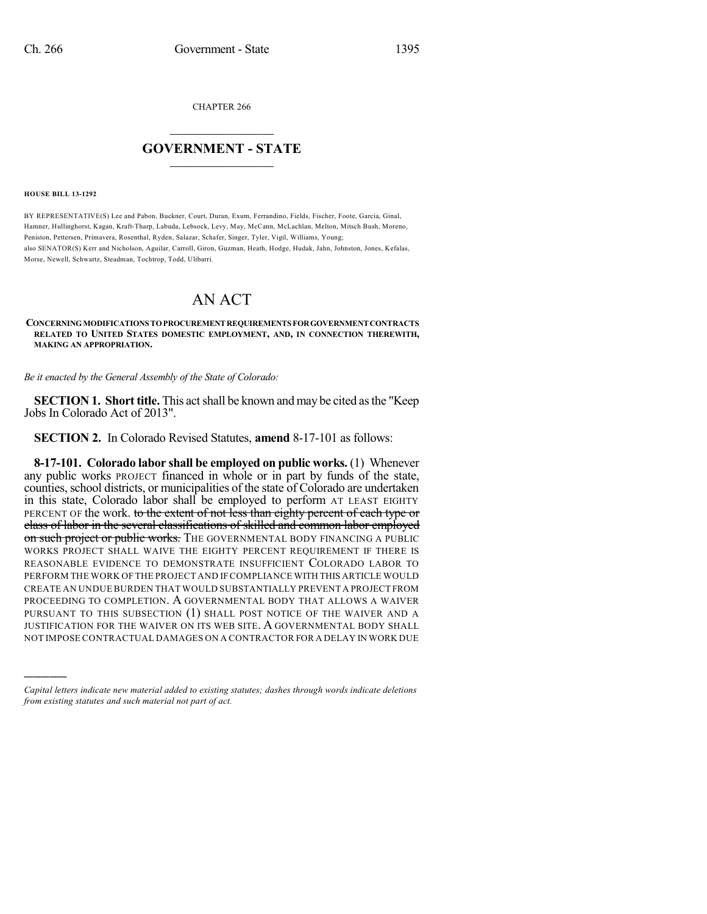CHAPTER 266

## $\overline{\phantom{a}}$  . The set of the set of the set of the set of the set of the set of the set of the set of the set of the set of the set of the set of the set of the set of the set of the set of the set of the set of the set o **GOVERNMENT - STATE**  $\_$

**HOUSE BILL 13-1292**

)))))

BY REPRESENTATIVE(S) Lee and Pabon, Buckner, Court, Duran, Exum, Ferrandino, Fields, Fischer, Foote, Garcia, Ginal, Hamner, Hullinghorst, Kagan, Kraft-Tharp, Labuda, Lebsock, Levy, May, McCann, McLachlan, Melton, Mitsch Bush, Moreno, Peniston, Pettersen, Primavera, Rosenthal, Ryden, Salazar, Schafer, Singer, Tyler, Vigil, Williams, Young; also SENATOR(S) Kerr and Nicholson, Aguilar, Carroll, Giron, Guzman, Heath, Hodge, Hudak, Jahn, Johnston, Jones, Kefalas, Morse, Newell, Schwartz, Steadman, Tochtrop, Todd, Ulibarri.

## AN ACT

## **CONCERNINGMODIFICATIONS TOPROCUREMENT REQUIREMENTSFORGOVERNMENT CONTRACTS RELATED TO UNITED STATES DOMESTIC EMPLOYMENT, AND, IN CONNECTION THEREWITH, MAKING AN APPROPRIATION.**

*Be it enacted by the General Assembly of the State of Colorado:*

**SECTION 1. Short title.** This actshall be known and may be cited asthe "Keep Jobs In Colorado Act of 2013".

**SECTION 2.** In Colorado Revised Statutes, **amend** 8-17-101 as follows:

**8-17-101. Colorado labor shall be employed on public works.** (1) Whenever any public works PROJECT financed in whole or in part by funds of the state, counties, school districts, or municipalities of the state of Colorado are undertaken in this state, Colorado labor shall be employed to perform AT LEAST EIGHTY PERCENT OF the work. to the extent of not less than eighty percent of each type or class of labor in the several classifications of skilled and common labor employed on such project or public works. The GOVERNMENTAL BODY FINANCING A PUBLIC WORKS PROJECT SHALL WAIVE THE EIGHTY PERCENT REQUIREMENT IF THERE IS REASONABLE EVIDENCE TO DEMONSTRATE INSUFFICIENT COLORADO LABOR TO PERFORM THE WORK OF THE PROJECT AND IF COMPLIANCE WITH THIS ARTICLE WOULD CREATE AN UNDUE BURDEN THAT WOULD SUBSTANTIALLY PREVENT A PROJECT FROM PROCEEDING TO COMPLETION. A GOVERNMENTAL BODY THAT ALLOWS A WAIVER PURSUANT TO THIS SUBSECTION (1) SHALL POST NOTICE OF THE WAIVER AND A JUSTIFICATION FOR THE WAIVER ON ITS WEB SITE. A GOVERNMENTAL BODY SHALL NOT IMPOSE CONTRACTUAL DAMAGES ON A CONTRACTOR FOR A DELAY IN WORK DUE

*Capital letters indicate new material added to existing statutes; dashes through words indicate deletions from existing statutes and such material not part of act.*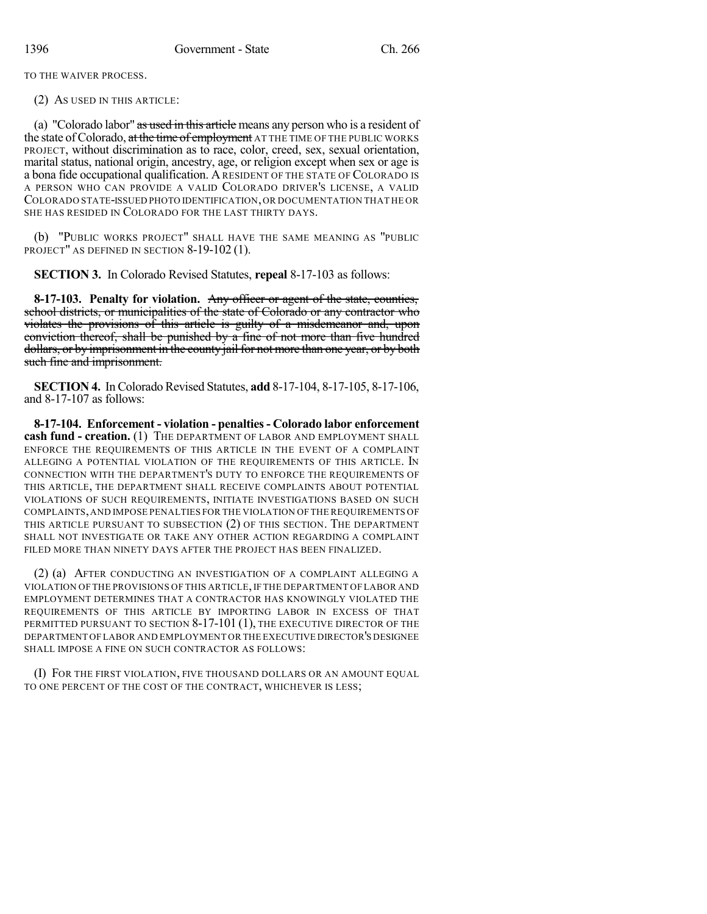TO THE WAIVER PROCESS.

(2) AS USED IN THIS ARTICLE:

(a) "Colorado labor" as used in this article means any person who is a resident of the state of Colorado, at the time of employment AT THE TIME OF THE PUBLIC WORKS PROJECT, without discrimination as to race, color, creed, sex, sexual orientation, marital status, national origin, ancestry, age, or religion except when sex or age is a bona fide occupational qualification. ARESIDENT OF THE STATE OF COLORADO IS A PERSON WHO CAN PROVIDE A VALID COLORADO DRIVER'S LICENSE, A VALID COLORADO STATE-ISSUED PHOTO IDENTIFICATION,OR DOCUMENTATION THAT HE OR SHE HAS RESIDED IN COLORADO FOR THE LAST THIRTY DAYS.

(b) "PUBLIC WORKS PROJECT" SHALL HAVE THE SAME MEANING AS "PUBLIC PROJECT" AS DEFINED IN SECTION 8-19-102 (1).

**SECTION 3.** In Colorado Revised Statutes, **repeal** 8-17-103 as follows:

**8-17-103. Penalty for violation.** Any officer or agent of the state, counties, school districts, or municipalities of the state of Colorado or any contractor who violates the provisions of this article is guilty of a misdemeanor and, upon conviction thereof, shall be punished by a fine of not more than five hundred dollars, or by imprisonment in the county jail for not more than one year, or by both such fine and imprisonment.

**SECTION 4.** In Colorado Revised Statutes, **add** 8-17-104, 8-17-105, 8-17-106, and 8-17-107 as follows:

**8-17-104. Enforcement - violation - penalties- Colorado labor enforcement cash fund - creation.** (1) THE DEPARTMENT OF LABOR AND EMPLOYMENT SHALL ENFORCE THE REQUIREMENTS OF THIS ARTICLE IN THE EVENT OF A COMPLAINT ALLEGING A POTENTIAL VIOLATION OF THE REQUIREMENTS OF THIS ARTICLE. IN CONNECTION WITH THE DEPARTMENT'S DUTY TO ENFORCE THE REQUIREMENTS OF THIS ARTICLE, THE DEPARTMENT SHALL RECEIVE COMPLAINTS ABOUT POTENTIAL VIOLATIONS OF SUCH REQUIREMENTS, INITIATE INVESTIGATIONS BASED ON SUCH COMPLAINTS,AND IMPOSE PENALTIES FOR THE VIOLATION OF THE REQUIREMENTS OF THIS ARTICLE PURSUANT TO SUBSECTION (2) OF THIS SECTION. THE DEPARTMENT SHALL NOT INVESTIGATE OR TAKE ANY OTHER ACTION REGARDING A COMPLAINT FILED MORE THAN NINETY DAYS AFTER THE PROJECT HAS BEEN FINALIZED.

(2) (a) AFTER CONDUCTING AN INVESTIGATION OF A COMPLAINT ALLEGING A VIOLATION OF THE PROVISIONS OF THIS ARTICLE, IF THE DEPARTMENT OF LABOR AND EMPLOYMENT DETERMINES THAT A CONTRACTOR HAS KNOWINGLY VIOLATED THE REQUIREMENTS OF THIS ARTICLE BY IMPORTING LABOR IN EXCESS OF THAT PERMITTED PURSUANT TO SECTION 8-17-101 (1), THE EXECUTIVE DIRECTOR OF THE DEPARTMENT OF LABOR AND EMPLOYMENT OR THE EXECUTIVE DIRECTOR'S DESIGNEE SHALL IMPOSE A FINE ON SUCH CONTRACTOR AS FOLLOWS:

(I) FOR THE FIRST VIOLATION, FIVE THOUSAND DOLLARS OR AN AMOUNT EQUAL TO ONE PERCENT OF THE COST OF THE CONTRACT, WHICHEVER IS LESS;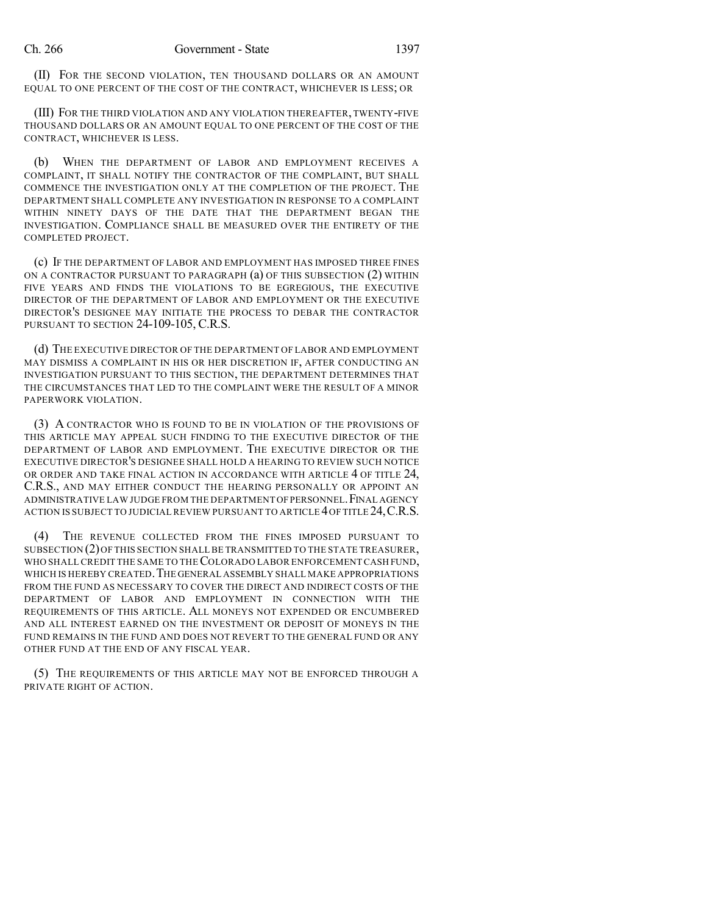(II) FOR THE SECOND VIOLATION, TEN THOUSAND DOLLARS OR AN AMOUNT EQUAL TO ONE PERCENT OF THE COST OF THE CONTRACT, WHICHEVER IS LESS; OR

(III) FOR THE THIRD VIOLATION AND ANY VIOLATION THEREAFTER, TWENTY-FIVE THOUSAND DOLLARS OR AN AMOUNT EQUAL TO ONE PERCENT OF THE COST OF THE CONTRACT, WHICHEVER IS LESS.

(b) WHEN THE DEPARTMENT OF LABOR AND EMPLOYMENT RECEIVES A COMPLAINT, IT SHALL NOTIFY THE CONTRACTOR OF THE COMPLAINT, BUT SHALL COMMENCE THE INVESTIGATION ONLY AT THE COMPLETION OF THE PROJECT. THE DEPARTMENT SHALL COMPLETE ANY INVESTIGATION IN RESPONSE TO A COMPLAINT WITHIN NINETY DAYS OF THE DATE THAT THE DEPARTMENT BEGAN THE INVESTIGATION. COMPLIANCE SHALL BE MEASURED OVER THE ENTIRETY OF THE COMPLETED PROJECT.

(c) IF THE DEPARTMENT OF LABOR AND EMPLOYMENT HAS IMPOSED THREE FINES ON A CONTRACTOR PURSUANT TO PARAGRAPH (a) OF THIS SUBSECTION (2) WITHIN FIVE YEARS AND FINDS THE VIOLATIONS TO BE EGREGIOUS, THE EXECUTIVE DIRECTOR OF THE DEPARTMENT OF LABOR AND EMPLOYMENT OR THE EXECUTIVE DIRECTOR'S DESIGNEE MAY INITIATE THE PROCESS TO DEBAR THE CONTRACTOR PURSUANT TO SECTION 24-109-105, C.R.S.

(d) THE EXECUTIVE DIRECTOR OF THE DEPARTMENT OF LABOR AND EMPLOYMENT MAY DISMISS A COMPLAINT IN HIS OR HER DISCRETION IF, AFTER CONDUCTING AN INVESTIGATION PURSUANT TO THIS SECTION, THE DEPARTMENT DETERMINES THAT THE CIRCUMSTANCES THAT LED TO THE COMPLAINT WERE THE RESULT OF A MINOR PAPERWORK VIOLATION.

(3) A CONTRACTOR WHO IS FOUND TO BE IN VIOLATION OF THE PROVISIONS OF THIS ARTICLE MAY APPEAL SUCH FINDING TO THE EXECUTIVE DIRECTOR OF THE DEPARTMENT OF LABOR AND EMPLOYMENT. THE EXECUTIVE DIRECTOR OR THE EXECUTIVE DIRECTOR'S DESIGNEE SHALL HOLD A HEARING TO REVIEW SUCH NOTICE OR ORDER AND TAKE FINAL ACTION IN ACCORDANCE WITH ARTICLE 4 OF TITLE 24, C.R.S., AND MAY EITHER CONDUCT THE HEARING PERSONALLY OR APPOINT AN ADMINISTRATIVE LAW JUDGE FROM THE DEPARTMENT OFPERSONNEL.FINAL AGENCY ACTION IS SUBJECT TO JUDICIAL REVIEW PURSUANT TO ARTICLE 4OF TITLE 24,C.R.S.

(4) THE REVENUE COLLECTED FROM THE FINES IMPOSED PURSUANT TO SUBSECTION (2)OF THIS SECTION SHALLBE TRANSMITTED TO THE STATE TREASURER, WHO SHALL CREDIT THE SAME TO THE COLORADO LABOR ENFORCEMENT CASH FUND. WHICH IS HEREBY CREATED.THE GENERAL ASSEMBLY SHALL MAKE APPROPRIATIONS FROM THE FUND AS NECESSARY TO COVER THE DIRECT AND INDIRECT COSTS OF THE DEPARTMENT OF LABOR AND EMPLOYMENT IN CONNECTION WITH THE REQUIREMENTS OF THIS ARTICLE. ALL MONEYS NOT EXPENDED OR ENCUMBERED AND ALL INTEREST EARNED ON THE INVESTMENT OR DEPOSIT OF MONEYS IN THE FUND REMAINS IN THE FUND AND DOES NOT REVERT TO THE GENERAL FUND OR ANY OTHER FUND AT THE END OF ANY FISCAL YEAR.

(5) THE REQUIREMENTS OF THIS ARTICLE MAY NOT BE ENFORCED THROUGH A PRIVATE RIGHT OF ACTION.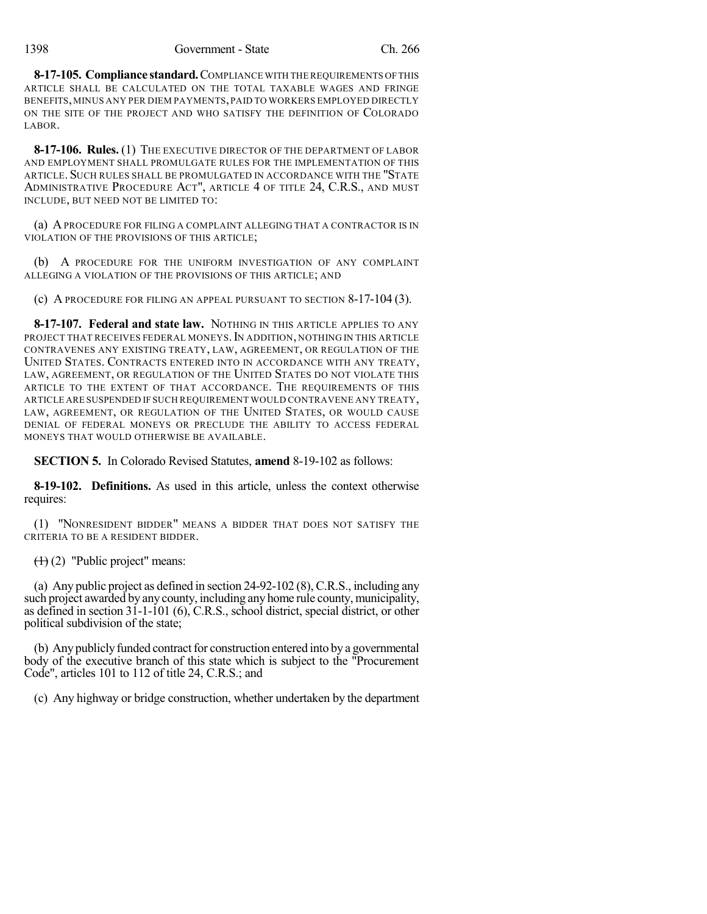**8-17-105. Compliance standard.**COMPLIANCE WITH THE REQUIREMENTS OFTHIS ARTICLE SHALL BE CALCULATED ON THE TOTAL TAXABLE WAGES AND FRINGE BENEFITS,MINUS ANY PER DIEM PAYMENTS,PAID TO WORKERS EMPLOYED DIRECTLY ON THE SITE OF THE PROJECT AND WHO SATISFY THE DEFINITION OF COLORADO LABOR.

**8-17-106. Rules.** (1) THE EXECUTIVE DIRECTOR OF THE DEPARTMENT OF LABOR AND EMPLOYMENT SHALL PROMULGATE RULES FOR THE IMPLEMENTATION OF THIS ARTICLE. SUCH RULES SHALL BE PROMULGATED IN ACCORDANCE WITH THE "STATE ADMINISTRATIVE PROCEDURE ACT", ARTICLE 4 OF TITLE 24, C.R.S., AND MUST INCLUDE, BUT NEED NOT BE LIMITED TO:

(a) APROCEDURE FOR FILING A COMPLAINT ALLEGING THAT A CONTRACTOR IS IN VIOLATION OF THE PROVISIONS OF THIS ARTICLE;

(b) A PROCEDURE FOR THE UNIFORM INVESTIGATION OF ANY COMPLAINT ALLEGING A VIOLATION OF THE PROVISIONS OF THIS ARTICLE; AND

(c) A PROCEDURE FOR FILING AN APPEAL PURSUANT TO SECTION 8-17-104 (3).

**8-17-107. Federal and state law.** NOTHING IN THIS ARTICLE APPLIES TO ANY PROJECT THAT RECEIVES FEDERAL MONEYS. IN ADDITION, NOTHING IN THIS ARTICLE CONTRAVENES ANY EXISTING TREATY, LAW, AGREEMENT, OR REGULATION OF THE UNITED STATES. CONTRACTS ENTERED INTO IN ACCORDANCE WITH ANY TREATY, LAW, AGREEMENT, OR REGULATION OF THE UNITED STATES DO NOT VIOLATE THIS ARTICLE TO THE EXTENT OF THAT ACCORDANCE. THE REQUIREMENTS OF THIS ARTICLE ARE SUSPENDED IF SUCH REQUIREMENT WOULD CONTRAVENE ANY TREATY, LAW, AGREEMENT, OR REGULATION OF THE UNITED STATES, OR WOULD CAUSE DENIAL OF FEDERAL MONEYS OR PRECLUDE THE ABILITY TO ACCESS FEDERAL MONEYS THAT WOULD OTHERWISE BE AVAILABLE.

**SECTION 5.** In Colorado Revised Statutes, **amend** 8-19-102 as follows:

**8-19-102. Definitions.** As used in this article, unless the context otherwise requires:

(1) "NONRESIDENT BIDDER" MEANS A BIDDER THAT DOES NOT SATISFY THE CRITERIA TO BE A RESIDENT BIDDER.

 $(1)$  (2) "Public project" means:

(a) Any public project as defined in section 24-92-102 (8), C.R.S., including any such project awarded by any county, including any home rule county, municipality, as defined in section 31-1-101 (6), C.R.S., school district, special district, or other political subdivision of the state;

(b) Any publicly funded contract for construction entered into by a governmental body of the executive branch of this state which is subject to the "Procurement Code", articles 101 to 112 of title 24, C.R.S.; and

(c) Any highway or bridge construction, whether undertaken by the department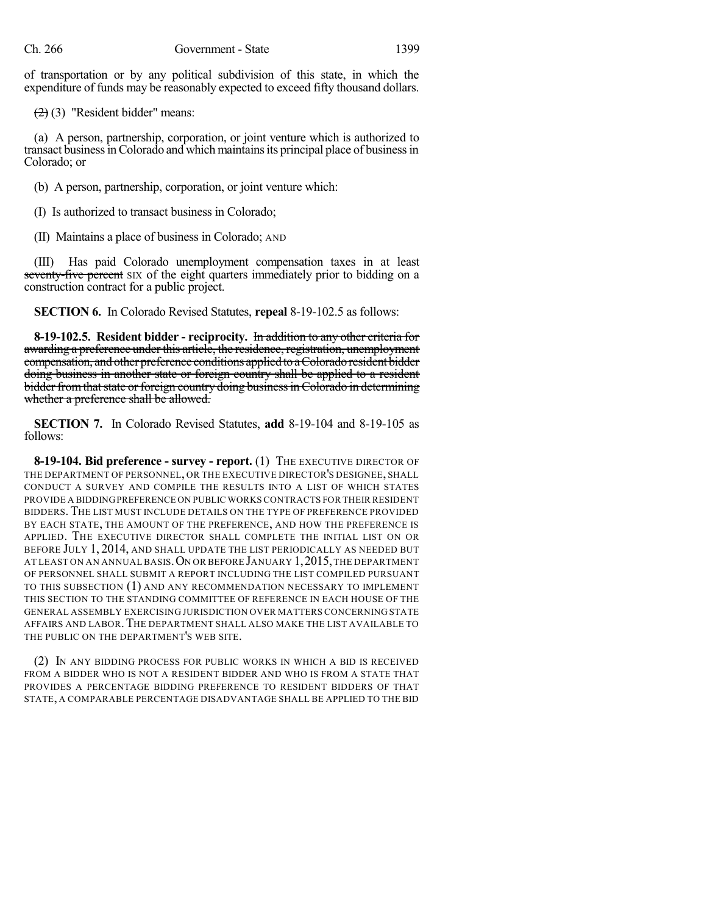of transportation or by any political subdivision of this state, in which the expenditure of funds may be reasonably expected to exceed fifty thousand dollars.

 $(2)$  (3) "Resident bidder" means:

(a) A person, partnership, corporation, or joint venture which is authorized to transact business in Colorado and which maintains its principal place of business in Colorado; or

(b) A person, partnership, corporation, or joint venture which:

(I) Is authorized to transact business in Colorado;

(II) Maintains a place of business in Colorado; AND

(III) Has paid Colorado unemployment compensation taxes in at least seventy-five percent SIX of the eight quarters immediately prior to bidding on a construction contract for a public project.

**SECTION 6.** In Colorado Revised Statutes, **repeal** 8-19-102.5 as follows:

**8-19-102.5. Resident bidder - reciprocity.** In addition to any other criteria for awarding a preference under this article, the residence, registration, unemployment compensation, andother preference conditions appliedtoaColoradoresident bidder doing business in another state or foreign country shall be applied to a resident bidder from that state or foreign country doing business in Colorado in determining whether a preference shall be allowed.

**SECTION 7.** In Colorado Revised Statutes, **add** 8-19-104 and 8-19-105 as follows:

**8-19-104. Bid preference - survey - report.** (1) THE EXECUTIVE DIRECTOR OF THE DEPARTMENT OF PERSONNEL, OR THE EXECUTIVE DIRECTOR'S DESIGNEE, SHALL CONDUCT A SURVEY AND COMPILE THE RESULTS INTO A LIST OF WHICH STATES PROVIDE A BIDDINGPREFERENCE ON PUBLIC WORKS CONTRACTS FOR THEIR RESIDENT BIDDERS. THE LIST MUST INCLUDE DETAILS ON THE TYPE OF PREFERENCE PROVIDED BY EACH STATE, THE AMOUNT OF THE PREFERENCE, AND HOW THE PREFERENCE IS APPLIED. THE EXECUTIVE DIRECTOR SHALL COMPLETE THE INITIAL LIST ON OR BEFORE JULY 1, 2014, AND SHALL UPDATE THE LIST PERIODICALLY AS NEEDED BUT AT LEAST ON AN ANNUAL BASIS. ON OR BEFORE JANUARY 1, 2015, THE DEPARTMENT OF PERSONNEL SHALL SUBMIT A REPORT INCLUDING THE LIST COMPILED PURSUANT TO THIS SUBSECTION (1) AND ANY RECOMMENDATION NECESSARY TO IMPLEMENT THIS SECTION TO THE STANDING COMMITTEE OF REFERENCE IN EACH HOUSE OF THE GENERAL ASSEMBLY EXERCISING JURISDICTION OVER MATTERS CONCERNING STATE AFFAIRS AND LABOR.THE DEPARTMENT SHALL ALSO MAKE THE LIST AVAILABLE TO THE PUBLIC ON THE DEPARTMENT'S WEB SITE.

(2) IN ANY BIDDING PROCESS FOR PUBLIC WORKS IN WHICH A BID IS RECEIVED FROM A BIDDER WHO IS NOT A RESIDENT BIDDER AND WHO IS FROM A STATE THAT PROVIDES A PERCENTAGE BIDDING PREFERENCE TO RESIDENT BIDDERS OF THAT STATE, A COMPARABLE PERCENTAGE DISADVANTAGE SHALL BE APPLIED TO THE BID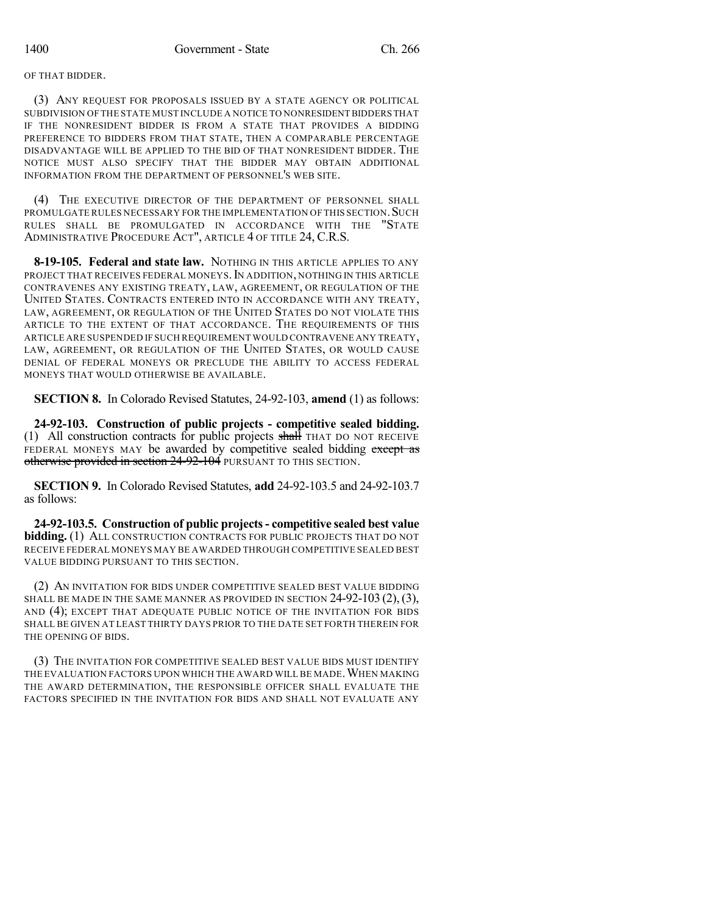OF THAT BIDDER.

(3) ANY REQUEST FOR PROPOSALS ISSUED BY A STATE AGENCY OR POLITICAL SUBDIVISION OF THE STATE MUST INCLUDE A NOTICE TO NONRESIDENT BIDDERS THAT IF THE NONRESIDENT BIDDER IS FROM A STATE THAT PROVIDES A BIDDING PREFERENCE TO BIDDERS FROM THAT STATE, THEN A COMPARABLE PERCENTAGE DISADVANTAGE WILL BE APPLIED TO THE BID OF THAT NONRESIDENT BIDDER. THE NOTICE MUST ALSO SPECIFY THAT THE BIDDER MAY OBTAIN ADDITIONAL INFORMATION FROM THE DEPARTMENT OF PERSONNEL'S WEB SITE.

(4) THE EXECUTIVE DIRECTOR OF THE DEPARTMENT OF PERSONNEL SHALL PROMULGATE RULES NECESSARY FOR THE IMPLEMENTATION OF THIS SECTION. SUCH RULES SHALL BE PROMULGATED IN ACCORDANCE WITH THE "STATE ADMINISTRATIVE PROCEDURE ACT", ARTICLE 4 OF TITLE 24, C.R.S.

**8-19-105. Federal and state law.** NOTHING IN THIS ARTICLE APPLIES TO ANY PROJECT THAT RECEIVES FEDERAL MONEYS. IN ADDITION, NOTHING IN THIS ARTICLE CONTRAVENES ANY EXISTING TREATY, LAW, AGREEMENT, OR REGULATION OF THE UNITED STATES. CONTRACTS ENTERED INTO IN ACCORDANCE WITH ANY TREATY, LAW, AGREEMENT, OR REGULATION OF THE UNITED STATES DO NOT VIOLATE THIS ARTICLE TO THE EXTENT OF THAT ACCORDANCE. THE REQUIREMENTS OF THIS ARTICLE ARE SUSPENDED IF SUCH REQUIREMENT WOULD CONTRAVENE ANY TREATY, LAW, AGREEMENT, OR REGULATION OF THE UNITED STATES, OR WOULD CAUSE DENIAL OF FEDERAL MONEYS OR PRECLUDE THE ABILITY TO ACCESS FEDERAL MONEYS THAT WOULD OTHERWISE BE AVAILABLE.

**SECTION 8.** In Colorado Revised Statutes, 24-92-103, **amend** (1) as follows:

**24-92-103. Construction of public projects - competitive sealed bidding.** (1) All construction contracts for public projects shall THAT DO NOT RECEIVE FEDERAL MONEYS MAY be awarded by competitive sealed bidding except as otherwise provided in section 24-92-104 PURSUANT TO THIS SECTION.

**SECTION 9.** In Colorado Revised Statutes, **add** 24-92-103.5 and 24-92-103.7 as follows:

**24-92-103.5. Construction of public projects- competitive sealed best value bidding.** (1) ALL CONSTRUCTION CONTRACTS FOR PUBLIC PROJECTS THAT DO NOT RECEIVE FEDERAL MONEYS MAY BE AWARDED THROUGH COMPETITIVE SEALED BEST VALUE BIDDING PURSUANT TO THIS SECTION.

(2) AN INVITATION FOR BIDS UNDER COMPETITIVE SEALED BEST VALUE BIDDING SHALL BE MADE IN THE SAME MANNER AS PROVIDED IN SECTION  $24-92-103$   $(2), (3),$ AND (4); EXCEPT THAT ADEQUATE PUBLIC NOTICE OF THE INVITATION FOR BIDS SHALL BE GIVEN AT LEAST THIRTY DAYS PRIOR TO THE DATE SET FORTH THEREIN FOR THE OPENING OF BIDS.

(3) THE INVITATION FOR COMPETITIVE SEALED BEST VALUE BIDS MUST IDENTIFY THE EVALUATION FACTORS UPON WHICH THE AWARD WILL BE MADE. WHEN MAKING THE AWARD DETERMINATION, THE RESPONSIBLE OFFICER SHALL EVALUATE THE FACTORS SPECIFIED IN THE INVITATION FOR BIDS AND SHALL NOT EVALUATE ANY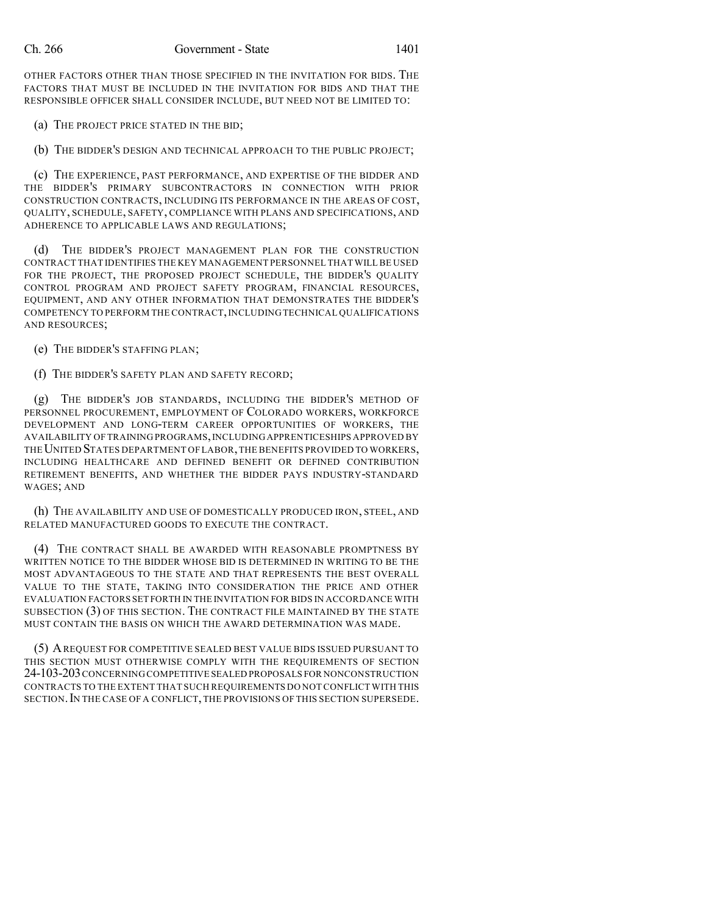OTHER FACTORS OTHER THAN THOSE SPECIFIED IN THE INVITATION FOR BIDS. THE FACTORS THAT MUST BE INCLUDED IN THE INVITATION FOR BIDS AND THAT THE RESPONSIBLE OFFICER SHALL CONSIDER INCLUDE, BUT NEED NOT BE LIMITED TO:

(a) THE PROJECT PRICE STATED IN THE BID;

(b) THE BIDDER'S DESIGN AND TECHNICAL APPROACH TO THE PUBLIC PROJECT;

(c) THE EXPERIENCE, PAST PERFORMANCE, AND EXPERTISE OF THE BIDDER AND THE BIDDER'S PRIMARY SUBCONTRACTORS IN CONNECTION WITH PRIOR CONSTRUCTION CONTRACTS, INCLUDING ITS PERFORMANCE IN THE AREAS OF COST, QUALITY, SCHEDULE, SAFETY, COMPLIANCE WITH PLANS AND SPECIFICATIONS, AND ADHERENCE TO APPLICABLE LAWS AND REGULATIONS;

(d) THE BIDDER'S PROJECT MANAGEMENT PLAN FOR THE CONSTRUCTION CONTRACT THAT IDENTIFIES THE KEY MANAGEMENT PERSONNEL THATWILL BE USED FOR THE PROJECT, THE PROPOSED PROJECT SCHEDULE, THE BIDDER'S QUALITY CONTROL PROGRAM AND PROJECT SAFETY PROGRAM, FINANCIAL RESOURCES, EQUIPMENT, AND ANY OTHER INFORMATION THAT DEMONSTRATES THE BIDDER'S COMPETENCY TO PERFORM THE CONTRACT, INCLUDING TECHNICAL QUALIFICATIONS AND RESOURCES;

(e) THE BIDDER'S STAFFING PLAN;

(f) THE BIDDER'S SAFETY PLAN AND SAFETY RECORD;

(g) THE BIDDER'S JOB STANDARDS, INCLUDING THE BIDDER'S METHOD OF PERSONNEL PROCUREMENT, EMPLOYMENT OF COLORADO WORKERS, WORKFORCE DEVELOPMENT AND LONG-TERM CAREER OPPORTUNITIES OF WORKERS, THE AVAILABILITY OF TRAINING PROGRAMS, INCLUDING APPRENTICESHIPS APPROVED BY THE UNITED STATES DEPARTMENT OF LABOR, THE BENEFITS PROVIDED TO WORKERS, INCLUDING HEALTHCARE AND DEFINED BENEFIT OR DEFINED CONTRIBUTION RETIREMENT BENEFITS, AND WHETHER THE BIDDER PAYS INDUSTRY-STANDARD WAGES; AND

(h) THE AVAILABILITY AND USE OF DOMESTICALLY PRODUCED IRON, STEEL, AND RELATED MANUFACTURED GOODS TO EXECUTE THE CONTRACT.

(4) THE CONTRACT SHALL BE AWARDED WITH REASONABLE PROMPTNESS BY WRITTEN NOTICE TO THE BIDDER WHOSE BID IS DETERMINED IN WRITING TO BE THE MOST ADVANTAGEOUS TO THE STATE AND THAT REPRESENTS THE BEST OVERALL VALUE TO THE STATE, TAKING INTO CONSIDERATION THE PRICE AND OTHER EVALUATION FACTORS SET FORTH IN THE INVITATION FOR BIDS IN ACCORDANCE WITH SUBSECTION (3) OF THIS SECTION. THE CONTRACT FILE MAINTAINED BY THE STATE MUST CONTAIN THE BASIS ON WHICH THE AWARD DETERMINATION WAS MADE.

(5) AREQUEST FOR COMPETITIVE SEALED BEST VALUE BIDS ISSUED PURSUANT TO THIS SECTION MUST OTHERWISE COMPLY WITH THE REQUIREMENTS OF SECTION 24-103-203 CONCERNING COMPETITIVE SEALED PROPOSALS FOR NONCONSTRUCTION CONTRACTS TO THE EXTENT THAT SUCH REQUIREMENTS DO NOT CONFLICT WITH THIS SECTION. IN THE CASE OF A CONFLICT, THE PROVISIONS OF THIS SECTION SUPERSEDE.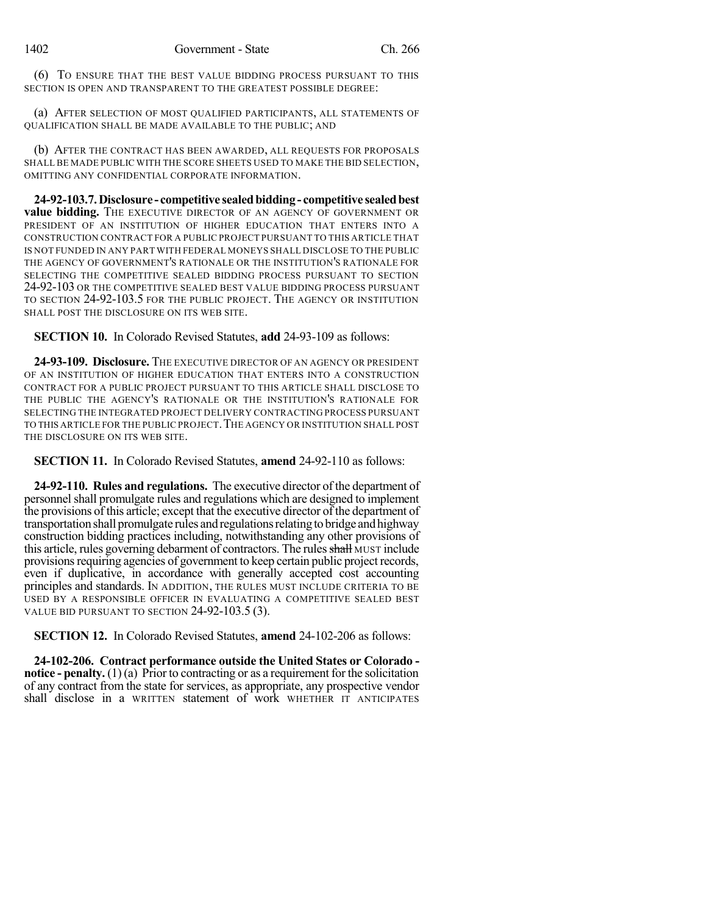(6) TO ENSURE THAT THE BEST VALUE BIDDING PROCESS PURSUANT TO THIS SECTION IS OPEN AND TRANSPARENT TO THE GREATEST POSSIBLE DEGREE:

(a) AFTER SELECTION OF MOST QUALIFIED PARTICIPANTS, ALL STATEMENTS OF QUALIFICATION SHALL BE MADE AVAILABLE TO THE PUBLIC; AND

(b) AFTER THE CONTRACT HAS BEEN AWARDED, ALL REQUESTS FOR PROPOSALS SHALL BE MADE PUBLIC WITH THE SCORE SHEETS USED TO MAKE THE BID SELECTION, OMITTING ANY CONFIDENTIAL CORPORATE INFORMATION.

**24-92-103.7.Disclosure - competitive sealedbidding - competitive sealedbest value bidding.** THE EXECUTIVE DIRECTOR OF AN AGENCY OF GOVERNMENT OR PRESIDENT OF AN INSTITUTION OF HIGHER EDUCATION THAT ENTERS INTO A CONSTRUCTION CONTRACT FOR A PUBLIC PROJECT PURSUANT TO THIS ARTICLE THAT IS NOT FUNDED IN ANY PART WITH FEDERAL MONEYS SHALL DISCLOSE TO THE PUBLIC THE AGENCY OF GOVERNMENT'S RATIONALE OR THE INSTITUTION'S RATIONALE FOR SELECTING THE COMPETITIVE SEALED BIDDING PROCESS PURSUANT TO SECTION 24-92-103 OR THE COMPETITIVE SEALED BEST VALUE BIDDING PROCESS PURSUANT TO SECTION 24-92-103.5 FOR THE PUBLIC PROJECT. THE AGENCY OR INSTITUTION SHALL POST THE DISCLOSURE ON ITS WEB SITE.

**SECTION 10.** In Colorado Revised Statutes, **add** 24-93-109 as follows:

**24-93-109. Disclosure.** THE EXECUTIVE DIRECTOR OF AN AGENCY OR PRESIDENT OF AN INSTITUTION OF HIGHER EDUCATION THAT ENTERS INTO A CONSTRUCTION CONTRACT FOR A PUBLIC PROJECT PURSUANT TO THIS ARTICLE SHALL DISCLOSE TO THE PUBLIC THE AGENCY'S RATIONALE OR THE INSTITUTION'S RATIONALE FOR SELECTING THE INTEGRATED PROJECT DELIVERY CONTRACTING PROCESS PURSUANT TO THIS ARTICLE FOR THE PUBLIC PROJECT.THE AGENCY OR INSTITUTION SHALL POST THE DISCLOSURE ON ITS WEB SITE.

**SECTION 11.** In Colorado Revised Statutes, **amend** 24-92-110 as follows:

**24-92-110. Rules and regulations.** The executive director of the department of personnel shall promulgate rules and regulations which are designed to implement the provisions of this article; except that the executive director ofthe department of transportation shall promulgate rules and regulationsrelatingtobridge andhighway construction bidding practices including, notwithstanding any other provisions of this article, rules governing debarment of contractors. The rules shall MUST include provisions requiring agencies of government to keep certain public project records, even if duplicative, in accordance with generally accepted cost accounting principles and standards. IN ADDITION, THE RULES MUST INCLUDE CRITERIA TO BE USED BY A RESPONSIBLE OFFICER IN EVALUATING A COMPETITIVE SEALED BEST VALUE BID PURSUANT TO SECTION 24-92-103.5 (3).

**SECTION 12.** In Colorado Revised Statutes, **amend** 24-102-206 as follows:

**24-102-206. Contract performance outside the United States or Colorado notice - penalty.** (1) (a) Prior to contracting or as a requirement for the solicitation of any contract from the state for services, as appropriate, any prospective vendor shall disclose in a WRITTEN statement of work WHETHER IT ANTICIPATES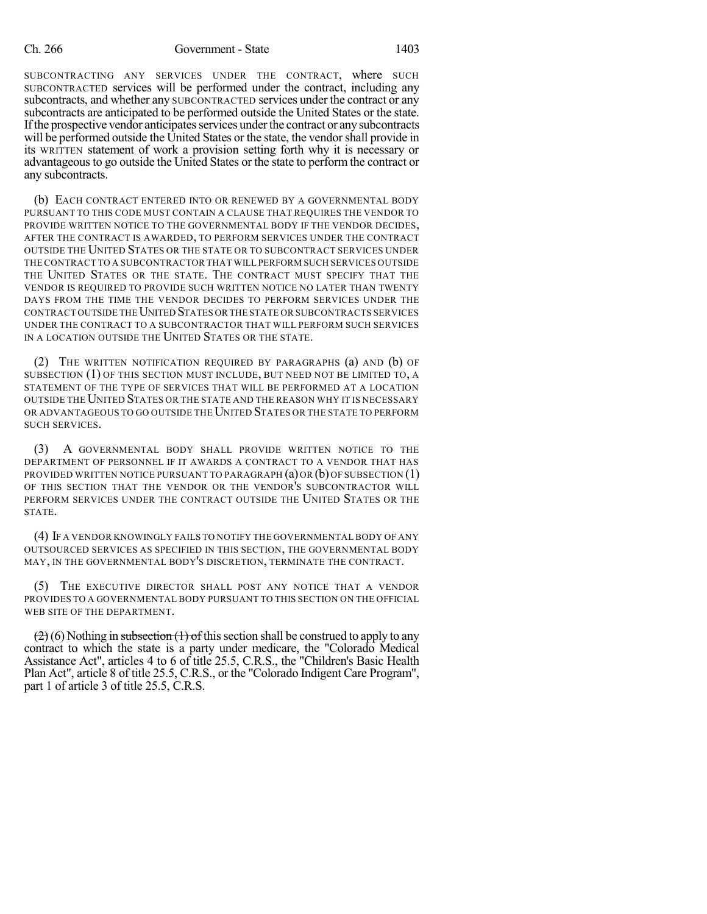SUBCONTRACTING ANY SERVICES UNDER THE CONTRACT, where SUCH SUBCONTRACTED services will be performed under the contract, including any subcontracts, and whether any SUBCONTRACTED services under the contract or any subcontracts are anticipated to be performed outside the United States or the state. If the prospective vendor anticipates services under the contract or any subcontracts will be performed outside the United States or the state, the vendor shall provide in its WRITTEN statement of work a provision setting forth why it is necessary or advantageousto go outside the United States or the state to perform the contract or any subcontracts.

(b) EACH CONTRACT ENTERED INTO OR RENEWED BY A GOVERNMENTAL BODY PURSUANT TO THIS CODE MUST CONTAIN A CLAUSE THAT REQUIRES THE VENDOR TO PROVIDE WRITTEN NOTICE TO THE GOVERNMENTAL BODY IF THE VENDOR DECIDES, AFTER THE CONTRACT IS AWARDED, TO PERFORM SERVICES UNDER THE CONTRACT OUTSIDE THE UNITED STATES OR THE STATE OR TO SUBCONTRACT SERVICES UNDER THE CONTRACT TO A SUBCONTRACTOR THAT WILL PERFORM SUCH SERVICES OUTSIDE THE UNITED STATES OR THE STATE. THE CONTRACT MUST SPECIFY THAT THE VENDOR IS REQUIRED TO PROVIDE SUCH WRITTEN NOTICE NO LATER THAN TWENTY DAYS FROM THE TIME THE VENDOR DECIDES TO PERFORM SERVICES UNDER THE CONTRACT OUTSIDE THE UNITED STATES OR THE STATE OR SUBCONTRACTS SERVICES UNDER THE CONTRACT TO A SUBCONTRACTOR THAT WILL PERFORM SUCH SERVICES IN A LOCATION OUTSIDE THE UNITED STATES OR THE STATE.

(2) THE WRITTEN NOTIFICATION REQUIRED BY PARAGRAPHS (a) AND (b) OF SUBSECTION (1) OF THIS SECTION MUST INCLUDE, BUT NEED NOT BE LIMITED TO, A STATEMENT OF THE TYPE OF SERVICES THAT WILL BE PERFORMED AT A LOCATION OUTSIDE THE UNITED STATES OR THE STATE AND THE REASON WHY IT IS NECESSARY OR ADVANTAGEOUS TO GO OUTSIDE THE UNITED STATES OR THE STATE TO PERFORM SUCH SERVICES.

(3) A GOVERNMENTAL BODY SHALL PROVIDE WRITTEN NOTICE TO THE DEPARTMENT OF PERSONNEL IF IT AWARDS A CONTRACT TO A VENDOR THAT HAS PROVIDED WRITTEN NOTICE PURSUANT TO PARAGRAPH  $(a)$  OR  $(b)$  OF SUBSECTION  $(1)$ OF THIS SECTION THAT THE VENDOR OR THE VENDOR'S SUBCONTRACTOR WILL PERFORM SERVICES UNDER THE CONTRACT OUTSIDE THE UNITED STATES OR THE STATE.

(4) IF A VENDOR KNOWINGLY FAILS TO NOTIFY THE GOVERNMENTAL BODY OF ANY OUTSOURCED SERVICES AS SPECIFIED IN THIS SECTION, THE GOVERNMENTAL BODY MAY, IN THE GOVERNMENTAL BODY'S DISCRETION, TERMINATE THE CONTRACT.

(5) THE EXECUTIVE DIRECTOR SHALL POST ANY NOTICE THAT A VENDOR PROVIDES TO A GOVERNMENTAL BODY PURSUANT TO THIS SECTION ON THE OFFICIAL WEB SITE OF THE DEPARTMENT.

 $(2)$ (6) Nothing in subsection (1) of this section shall be construed to apply to any contract to which the state is a party under medicare, the "Colorado Medical Assistance Act", articles 4 to 6 of title 25.5, C.R.S., the "Children's Basic Health Plan Act", article 8 of title 25.5, C.R.S., or the "Colorado Indigent Care Program", part 1 of article 3 of title 25.5, C.R.S.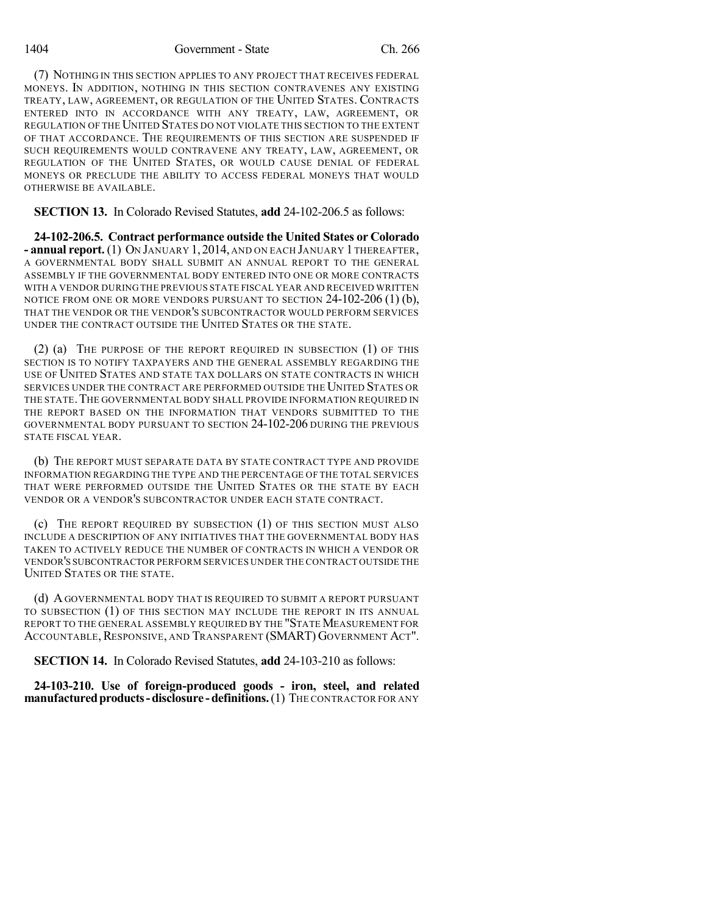1404 Government - State Ch. 266

(7) NOTHING IN THIS SECTION APPLIES TO ANY PROJECT THAT RECEIVES FEDERAL MONEYS. IN ADDITION, NOTHING IN THIS SECTION CONTRAVENES ANY EXISTING TREATY, LAW, AGREEMENT, OR REGULATION OF THE UNITED STATES. CONTRACTS ENTERED INTO IN ACCORDANCE WITH ANY TREATY, LAW, AGREEMENT, OR REGULATION OF THE UNITED STATES DO NOT VIOLATE THIS SECTION TO THE EXTENT OF THAT ACCORDANCE. THE REQUIREMENTS OF THIS SECTION ARE SUSPENDED IF SUCH REQUIREMENTS WOULD CONTRAVENE ANY TREATY, LAW, AGREEMENT, OR REGULATION OF THE UNITED STATES, OR WOULD CAUSE DENIAL OF FEDERAL MONEYS OR PRECLUDE THE ABILITY TO ACCESS FEDERAL MONEYS THAT WOULD OTHERWISE BE AVAILABLE.

**SECTION 13.** In Colorado Revised Statutes, **add** 24-102-206.5 as follows:

**24-102-206.5. Contract performance outside the United States or Colorado - annual report.** (1) ON JANUARY 1,2014, AND ON EACH JANUARY 1 THEREAFTER, A GOVERNMENTAL BODY SHALL SUBMIT AN ANNUAL REPORT TO THE GENERAL ASSEMBLY IF THE GOVERNMENTAL BODY ENTERED INTO ONE OR MORE CONTRACTS WITH A VENDOR DURING THE PREVIOUS STATE FISCAL YEAR AND RECEIVED WRITTEN NOTICE FROM ONE OR MORE VENDORS PURSUANT TO SECTION 24-102-206 (1) (b), THAT THE VENDOR OR THE VENDOR'S SUBCONTRACTOR WOULD PERFORM SERVICES UNDER THE CONTRACT OUTSIDE THE UNITED STATES OR THE STATE.

(2) (a) THE PURPOSE OF THE REPORT REQUIRED IN SUBSECTION (1) OF THIS SECTION IS TO NOTIFY TAXPAYERS AND THE GENERAL ASSEMBLY REGARDING THE USE OF UNITED STATES AND STATE TAX DOLLARS ON STATE CONTRACTS IN WHICH SERVICES UNDER THE CONTRACT ARE PERFORMED OUTSIDE THE UNITED STATES OR THE STATE. THE GOVERNMENTAL BODY SHALL PROVIDE INFORMATION REQUIRED IN THE REPORT BASED ON THE INFORMATION THAT VENDORS SUBMITTED TO THE GOVERNMENTAL BODY PURSUANT TO SECTION 24-102-206 DURING THE PREVIOUS STATE FISCAL YEAR.

(b) THE REPORT MUST SEPARATE DATA BY STATE CONTRACT TYPE AND PROVIDE INFORMATION REGARDING THE TYPE AND THE PERCENTAGE OF THE TOTAL SERVICES THAT WERE PERFORMED OUTSIDE THE UNITED STATES OR THE STATE BY EACH VENDOR OR A VENDOR'S SUBCONTRACTOR UNDER EACH STATE CONTRACT.

(c) THE REPORT REQUIRED BY SUBSECTION (1) OF THIS SECTION MUST ALSO INCLUDE A DESCRIPTION OF ANY INITIATIVES THAT THE GOVERNMENTAL BODY HAS TAKEN TO ACTIVELY REDUCE THE NUMBER OF CONTRACTS IN WHICH A VENDOR OR VENDOR'S SUBCONTRACTOR PERFORM SERVICES UNDER THE CONTRACT OUTSIDE THE UNITED STATES OR THE STATE.

(d) AGOVERNMENTAL BODY THAT IS REQUIRED TO SUBMIT A REPORT PURSUANT TO SUBSECTION (1) OF THIS SECTION MAY INCLUDE THE REPORT IN ITS ANNUAL REPORT TO THE GENERAL ASSEMBLY REQUIRED BY THE "STATE MEASUREMENT FOR ACCOUNTABLE,RESPONSIVE, AND TRANSPARENT (SMART) GOVERNMENT ACT".

**SECTION 14.** In Colorado Revised Statutes, **add** 24-103-210 as follows:

**24-103-210. Use of foreign-produced goods - iron, steel, and related manufacturedproducts-disclosure -definitions.**(1) THE CONTRACTOR FOR ANY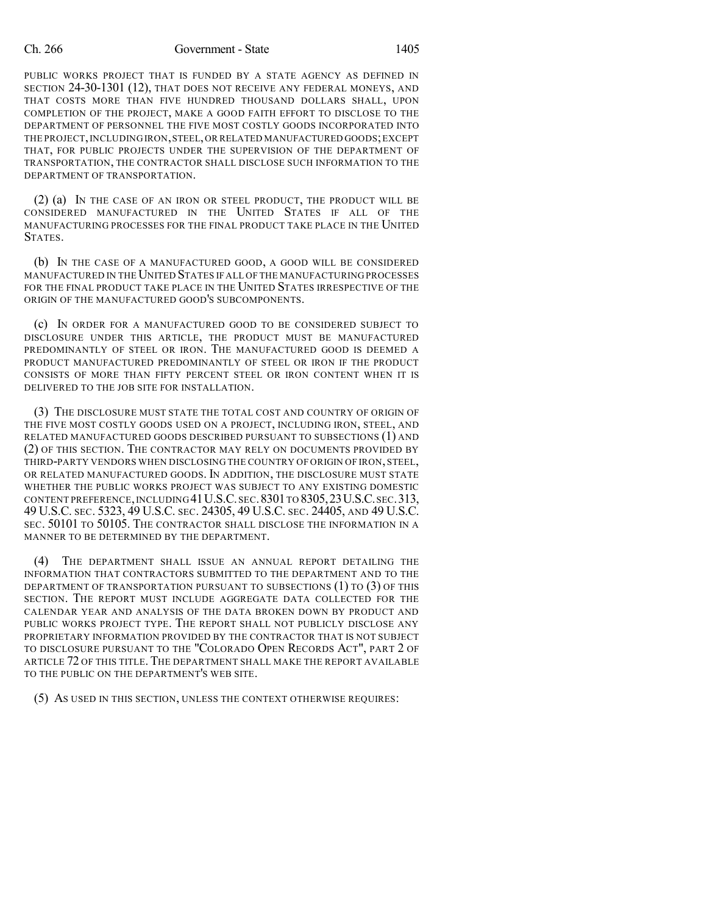## Ch. 266 Government - State 1405

PUBLIC WORKS PROJECT THAT IS FUNDED BY A STATE AGENCY AS DEFINED IN SECTION 24-30-1301 (12), THAT DOES NOT RECEIVE ANY FEDERAL MONEYS, AND THAT COSTS MORE THAN FIVE HUNDRED THOUSAND DOLLARS SHALL, UPON COMPLETION OF THE PROJECT, MAKE A GOOD FAITH EFFORT TO DISCLOSE TO THE DEPARTMENT OF PERSONNEL THE FIVE MOST COSTLY GOODS INCORPORATED INTO THE PROJECT,INCLUDING IRON,STEEL,OR RELATED MANUFACTURED GOODS;EXCEPT THAT, FOR PUBLIC PROJECTS UNDER THE SUPERVISION OF THE DEPARTMENT OF TRANSPORTATION, THE CONTRACTOR SHALL DISCLOSE SUCH INFORMATION TO THE DEPARTMENT OF TRANSPORTATION.

(2) (a) IN THE CASE OF AN IRON OR STEEL PRODUCT, THE PRODUCT WILL BE CONSIDERED MANUFACTURED IN THE UNITED STATES IF ALL OF THE MANUFACTURING PROCESSES FOR THE FINAL PRODUCT TAKE PLACE IN THE UNITED STATES.

(b) IN THE CASE OF A MANUFACTURED GOOD, A GOOD WILL BE CONSIDERED MANUFACTURED IN THE UNITED STATES IF ALL OF THE MANUFACTURING PROCESSES FOR THE FINAL PRODUCT TAKE PLACE IN THE UNITED STATES IRRESPECTIVE OF THE ORIGIN OF THE MANUFACTURED GOOD'S SUBCOMPONENTS.

(c) IN ORDER FOR A MANUFACTURED GOOD TO BE CONSIDERED SUBJECT TO DISCLOSURE UNDER THIS ARTICLE, THE PRODUCT MUST BE MANUFACTURED PREDOMINANTLY OF STEEL OR IRON. THE MANUFACTURED GOOD IS DEEMED A PRODUCT MANUFACTURED PREDOMINANTLY OF STEEL OR IRON IF THE PRODUCT CONSISTS OF MORE THAN FIFTY PERCENT STEEL OR IRON CONTENT WHEN IT IS DELIVERED TO THE JOB SITE FOR INSTALLATION.

(3) THE DISCLOSURE MUST STATE THE TOTAL COST AND COUNTRY OF ORIGIN OF THE FIVE MOST COSTLY GOODS USED ON A PROJECT, INCLUDING IRON, STEEL, AND RELATED MANUFACTURED GOODS DESCRIBED PURSUANT TO SUBSECTIONS (1) AND (2) OF THIS SECTION. THE CONTRACTOR MAY RELY ON DOCUMENTS PROVIDED BY THIRD-PARTY VENDORS WHEN DISCLOSING THE COUNTRY OF ORIGIN OF IRON, STEEL, OR RELATED MANUFACTURED GOODS. IN ADDITION, THE DISCLOSURE MUST STATE WHETHER THE PUBLIC WORKS PROJECT WAS SUBJECT TO ANY EXISTING DOMESTIC CONTENT PREFERENCE, INCLUDING 41 U.S.C. SEC. 8301 TO 8305, 23 U.S.C. SEC. 313, 49 U.S.C. SEC. 5323, 49 U.S.C. SEC. 24305, 49 U.S.C. SEC. 24405, AND 49 U.S.C. SEC. 50101 TO 50105. THE CONTRACTOR SHALL DISCLOSE THE INFORMATION IN A MANNER TO BE DETERMINED BY THE DEPARTMENT.

(4) THE DEPARTMENT SHALL ISSUE AN ANNUAL REPORT DETAILING THE INFORMATION THAT CONTRACTORS SUBMITTED TO THE DEPARTMENT AND TO THE DEPARTMENT OF TRANSPORTATION PURSUANT TO SUBSECTIONS (1) TO (3) OF THIS SECTION. THE REPORT MUST INCLUDE AGGREGATE DATA COLLECTED FOR THE CALENDAR YEAR AND ANALYSIS OF THE DATA BROKEN DOWN BY PRODUCT AND PUBLIC WORKS PROJECT TYPE. THE REPORT SHALL NOT PUBLICLY DISCLOSE ANY PROPRIETARY INFORMATION PROVIDED BY THE CONTRACTOR THAT IS NOT SUBJECT TO DISCLOSURE PURSUANT TO THE "COLORADO OPEN RECORDS ACT", PART 2 OF ARTICLE 72 OF THIS TITLE. THE DEPARTMENT SHALL MAKE THE REPORT AVAILABLE TO THE PUBLIC ON THE DEPARTMENT'S WEB SITE.

(5) AS USED IN THIS SECTION, UNLESS THE CONTEXT OTHERWISE REQUIRES: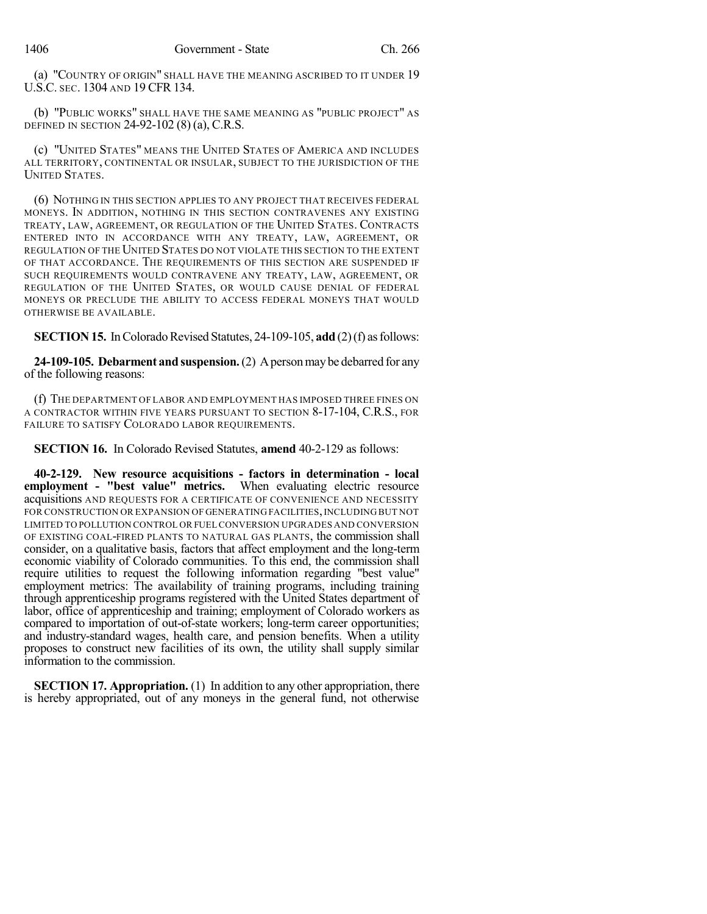(a) "COUNTRY OF ORIGIN" SHALL HAVE THE MEANING ASCRIBED TO IT UNDER 19 U.S.C. SEC. 1304 AND 19 CFR 134.

(b) "PUBLIC WORKS" SHALL HAVE THE SAME MEANING AS "PUBLIC PROJECT" AS DEFINED IN SECTION 24-92-102 (8) (a), C.R.S.

(c) "UNITED STATES" MEANS THE UNITED STATES OF AMERICA AND INCLUDES ALL TERRITORY, CONTINENTAL OR INSULAR, SUBJECT TO THE JURISDICTION OF THE UNITED STATES.

(6) NOTHING IN THIS SECTION APPLIES TO ANY PROJECT THAT RECEIVES FEDERAL MONEYS. IN ADDITION, NOTHING IN THIS SECTION CONTRAVENES ANY EXISTING TREATY, LAW, AGREEMENT, OR REGULATION OF THE UNITED STATES. CONTRACTS ENTERED INTO IN ACCORDANCE WITH ANY TREATY, LAW, AGREEMENT, OR REGULATION OF THE UNITED STATES DO NOT VIOLATE THIS SECTION TO THE EXTENT OF THAT ACCORDANCE. THE REQUIREMENTS OF THIS SECTION ARE SUSPENDED IF SUCH REQUIREMENTS WOULD CONTRAVENE ANY TREATY, LAW, AGREEMENT, OR REGULATION OF THE UNITED STATES, OR WOULD CAUSE DENIAL OF FEDERAL MONEYS OR PRECLUDE THE ABILITY TO ACCESS FEDERAL MONEYS THAT WOULD OTHERWISE BE AVAILABLE.

**SECTION 15.** In Colorado Revised Statutes, 24-109-105, add (2)(f) as follows:

**24-109-105. Debarment and suspension.** (2) A person may be debarred for any of the following reasons:

(f) THE DEPARTMENT OF LABOR AND EMPLOYMENT HAS IMPOSED THREE FINES ON A CONTRACTOR WITHIN FIVE YEARS PURSUANT TO SECTION 8-17-104, C.R.S., FOR FAILURE TO SATISFY COLORADO LABOR REQUIREMENTS.

**SECTION 16.** In Colorado Revised Statutes, **amend** 40-2-129 as follows:

**40-2-129. New resource acquisitions - factors in determination - local employment - "best value" metrics.** When evaluating electric resource acquisitions AND REQUESTS FOR A CERTIFICATE OF CONVENIENCE AND NECESSITY FOR CONSTRUCTION OR EXPANSION OF GENERATING FACILITIES,INCLUDING BUT NOT LIMITED TO POLLUTION CONTROL OR FUEL CONVERSION UPGRADES AND CONVERSION OF EXISTING COAL-FIRED PLANTS TO NATURAL GAS PLANTS, the commission shall consider, on a qualitative basis, factors that affect employment and the long-term economic viability of Colorado communities. To this end, the commission shall require utilities to request the following information regarding "best value" employment metrics: The availability of training programs, including training through apprenticeship programs registered with the United States department of labor, office of apprenticeship and training; employment of Colorado workers as compared to importation of out-of-state workers; long-term career opportunities; and industry-standard wages, health care, and pension benefits. When a utility proposes to construct new facilities of its own, the utility shall supply similar information to the commission.

**SECTION 17. Appropriation.** (1) In addition to any other appropriation, there is hereby appropriated, out of any moneys in the general fund, not otherwise